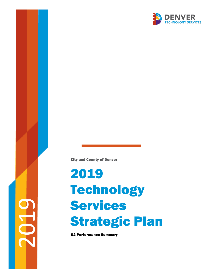2019

City and County of Denver

# 2019 **Technology** Services Strategic Plan

Q2 Performance Summary

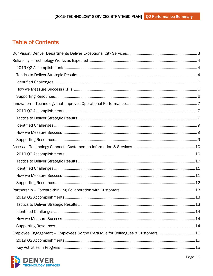## **Table of Contents**

| Employee Engagement - Employees Go the Extra Mile for Colleagues & Customers 15 |  |
|---------------------------------------------------------------------------------|--|
|                                                                                 |  |
|                                                                                 |  |

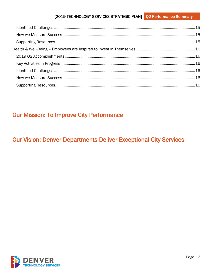## **Our Mission: To Improve City Performance**

## <span id="page-2-0"></span>**Our Vision: Denver Departments Deliver Exceptional City Services**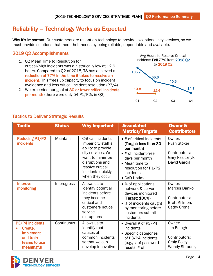## <span id="page-3-0"></span>Reliability – Technology Works as Expected

Why it's important: Our customers are reliant on technology to provide exceptional city services, so we must provide solutions that meet their needs by being reliable, dependable and available.

#### <span id="page-3-1"></span>2019 Q2 Accomplishments

- 1. Q2 Mean Time to Resolution for critical/high incidents was a historically low at 12.6 hours. Compared to Q2 of 2018, TS has achieved a reduction of 77% in the time it takes to resolve an incident. This frees up capacity to focus on incident avoidance and less critical incident resolution (P3/4).
- 2. We exceeded our goal of 30 or fewer critical incidents per month (there were only 54 P1/P2s in Q2).



<span id="page-3-2"></span>

| <b>Tactic</b>                                                                             | <b>Status</b> | <b>Why Important</b>                                                                                                                                                                           | <b>Associated</b><br><b>Metrics/Targets</b>                                                                                                                                       | <b>Owner &amp;</b><br><b>Contributors</b>                                 |
|-------------------------------------------------------------------------------------------|---------------|------------------------------------------------------------------------------------------------------------------------------------------------------------------------------------------------|-----------------------------------------------------------------------------------------------------------------------------------------------------------------------------------|---------------------------------------------------------------------------|
| <b>Reducing P1/P2</b><br><b>incidents</b>                                                 | Maintain      | <b>Critical incidents</b><br>impair city staff's<br>ability to provide<br>city services. We<br>want to minimize<br>disruptions and<br>resolve critical<br>incidents quickly<br>when they occur | • # of critical incidents<br>(Target: less than 30<br>per month)<br>• # of incident-free<br>days per month<br>• Mean time to<br>resolution for P1/P2<br>incidents<br>• CAD Uptime | Owner:<br>Ryan Stoker<br>Contributors:<br>Gary Pasicznyk,<br>David Garcia |
| <b>Improve</b><br>monitoring                                                              | In progress   | Allows us to<br>identify potential<br>incidents before<br>they become<br>critical and<br>customers notice<br>service<br>disruptions                                                            | • % of applications,<br>network & server<br>devices monitored<br>(Target: 100%)<br>• % of incidents caught<br>by monitoring before<br>customers submit<br>incidents               | Owner:<br>Marcus Danko<br>Contributors:<br>Brett Killmon,<br>Cathy Orona  |
| P3/P4 incidents<br>Create,<br><b>implement</b><br>and train<br>teams to use<br>meaningful | Continuous    | Allows us to<br>identify root<br>causes of<br>common incidents<br>so that we can<br>develop innovative                                                                                         | • Overall # of P3/P4<br>incidents<br>• Specific categories<br>of P3/P4 incidents<br>(e.g., # of password<br>resets, # of                                                          | Owner:<br>Jim Balogh<br>Contributors:<br>Craig Poley,<br>Wendy Shrader,   |

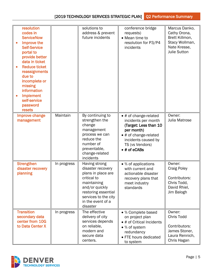| resolution<br>codes in<br><b>ServiceNow</b><br>Improve the<br>$\bullet$<br><b>Self-Service</b><br>portal to<br>provide better<br>data in ticket<br><b>Reduce ticket</b><br>$\bullet$<br>reassignments<br>due to<br>incomplete or<br>missing<br>information<br>Implement<br>self-service<br>password<br>resets |             | solutions to<br>address & prevent<br>future incidents                                                                                                                                    | conference bridge<br>requests)<br>• Mean time to<br>resolution for P3/P4<br>incidents                                                                                          | Marcus Danko,<br>Cathy Orona,<br>Brett Killmon,<br>Stacy Wollman,<br>Nate Kresse,<br><b>Julie Sutton</b> |
|---------------------------------------------------------------------------------------------------------------------------------------------------------------------------------------------------------------------------------------------------------------------------------------------------------------|-------------|------------------------------------------------------------------------------------------------------------------------------------------------------------------------------------------|--------------------------------------------------------------------------------------------------------------------------------------------------------------------------------|----------------------------------------------------------------------------------------------------------|
| Improve change<br>management                                                                                                                                                                                                                                                                                  | Maintain    | By continuing to<br>strengthen the<br>change<br>management<br>process we can<br>reduce the<br>number of<br>preventable,<br>change-related<br>incidents                                   | • # of change-related<br>incidents per month<br>(Target: Less than 10<br>per month)<br>• # of change-related<br>incidents caused by<br>TS (vs Vendors)<br>$\bullet$ # of eCABs | Owner:<br>Julia Matrose                                                                                  |
| <b>Strengthen</b><br>disaster recovery<br>planning                                                                                                                                                                                                                                                            | In progress | Having strong<br>disaster recovery<br>plans in place are<br>critical to<br>maintaining<br>and/or quickly<br>restoring essential<br>services to the city<br>in the event of a<br>disaster | • % of applications<br>with current and<br>actionable disaster<br>recovery plans that<br>meet industry<br>standards                                                            | Owner:<br><b>Craig Poley</b><br>Contributors:<br>Chris Todd,<br>David Rhiel,<br>Jim Balogh               |
| <b>Transition</b><br>secondary data<br>center from 10G<br>to Data Center X                                                                                                                                                                                                                                    | In progress | The effective<br>delivery of city<br>services depends<br>on reliable,<br>modern and<br>secure data<br>centers.                                                                           | • % Complete based<br>on project plan<br>• # of Critical Incidents<br>• % of system<br>redundancy<br>• FTE hours dedicated<br>to system                                        | Owner:<br>Chris Todd<br>Contributors:<br>James Stoner,<br>Laura Rennich,<br>Chris Hagan                  |

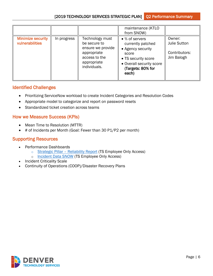|                                             |             |                                                                                                                     | maintenance (KTLO<br>from SNOW)                                                                                                                    |                                                              |
|---------------------------------------------|-------------|---------------------------------------------------------------------------------------------------------------------|----------------------------------------------------------------------------------------------------------------------------------------------------|--------------------------------------------------------------|
| <b>Minimize security</b><br>vulnerabilities | In progress | Technology must<br>be secure to<br>ensure we provide<br>appropriate<br>access to the<br>appropriate<br>individuals. | • % of servers<br>currently patched<br>• Agency security<br>score<br>• TS security score<br>• Overall security score<br>(Targets: 80% for<br>each) | Owner:<br><b>Julie Sutton</b><br>Contributors:<br>Jim Balogh |

#### <span id="page-5-0"></span>Identified Challenges

- Prioritizing ServiceNow workload to create Incident Categories and Resolution Codes
- Appropriate model to categorize and report on password resets
- Standardized ticket creation across teams

#### <span id="page-5-1"></span>How we Measure Success (KPIs)

- Mean Time to Resolution (MTTR)
- <span id="page-5-2"></span>• # of Incidents per Month (Goal: Fewer than 30 P1/P2 per month)

- Performance Dashboards
	- o Strategic Pillar Reliability Report (TS Employee Only Access)
	- o [Incident Data SNOW](https://app.powerbigov.us/groups/040053c4-14ff-4e24-91e6-6393fcf98cd2/reports/03a82133-17f4-40ac-a0fe-139d2c4ee267?ctid=39c87ab3-6612-42c0-9620-a696d12df803) (TS Employee Only Access)
- **Incident Criticality Scale**
- Continuity of Operations (COOP)/Disaster Recovery Plans

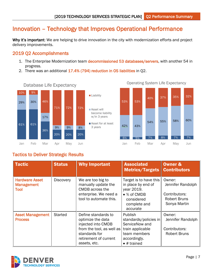## <span id="page-6-0"></span>Innovation – Technology that Improves Operational Performance

Why it's important: We are helping to drive innovation in the city with modernization efforts and project delivery improvements.

#### <span id="page-6-1"></span>2019 Q2 Accomplishments

- 1. The Enterprise Modernization team decommissioned 53 databases/servers, with another 54 in progress.
- 2. There was an additional 17.4% (794) reduction in OS liabilities in Q2.







Operating System Life Expectancy

<span id="page-6-2"></span>

| <b>Tactic</b>                                             | <b>Status</b>    | <b>Why Important</b>                                                                                                                                  | <b>Associated</b><br><b>Metrics/Targets</b>                                                                                          | <b>Owner &amp;</b><br><b>Contributors</b>                                           |
|-----------------------------------------------------------|------------------|-------------------------------------------------------------------------------------------------------------------------------------------------------|--------------------------------------------------------------------------------------------------------------------------------------|-------------------------------------------------------------------------------------|
| <b>Hardware Asset</b><br><b>Management</b><br><b>Tool</b> | <b>Discovery</b> | We are too big to<br>manually update the<br>CMDB across the<br>enterprise. We need a<br>tool to automate this.                                        | Target is to have this<br>in place by end of<br>year 2019.<br>• % of CMDB<br>considered<br>complete and<br>accurate                  | Owner:<br>Jennifer Randolph<br>Contributors:<br><b>Robert Bruns</b><br>Sonya Martin |
| <b>Asset Management</b><br><b>Process</b>                 | <b>Started</b>   | Define standards to<br>optimize the data<br>injected into CMDB<br>from the tool, as well as<br>standards for<br>retirement of current<br>assets, etc. | <b>Publish</b><br>standards/policies in<br>ServiceNow and<br>train applicable<br>team members<br>accordingly.<br>$\bullet$ # trained | Owner:<br>Jennifer Randolph<br>Contributors:<br><b>Robert Bruns</b>                 |

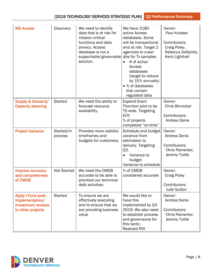| <b>MS Access</b>                                                                        | <b>Discovery</b>      | We need to identify<br>data that is at risk for<br>mission critical<br>functions and data<br>privacy. Access<br>database is not a<br>supportable/governable<br>solution. | We have 3180<br>active Access<br>databases. Some<br>will be transactional<br>and at risk. Target 2<br>agencies to crawl<br>dbs for Tx samples.<br># of active<br>$\bullet$<br>Access<br>databases<br>(target to reduce<br>by 15% annually)<br>• % of databases<br>that contain<br>regulated data | Owner:<br>Paul Kresser<br>Contributors:<br>Craig Poley,<br>Rebecca DeSantis,<br>Kent Lighthall |
|-----------------------------------------------------------------------------------------|-----------------------|--------------------------------------------------------------------------------------------------------------------------------------------------------------------------|--------------------------------------------------------------------------------------------------------------------------------------------------------------------------------------------------------------------------------------------------------------------------------------------------|------------------------------------------------------------------------------------------------|
| <b>Supply &amp; Demand/</b><br><b>Capacity planning</b>                                 | <b>Started</b>        | We need the ability to<br>forecast resource<br>availability.                                                                                                             | <b>Expand Grant</b><br>Thornton pilot to be<br>TS wide. Targeting<br><b>EOY</b><br>% of projects<br>completed "on-time"                                                                                                                                                                          | Owner:<br><b>Chris Binnicker</b><br>Contributors:<br>Andrea Denis                              |
| <b>Project Variance</b>                                                                 | Started/in<br>process | Provides more realistic<br>timeframes and<br>budgets for customers.                                                                                                      | Schedule and budget<br>variance from<br>estimation to<br>delivery. Targeting<br>Q3.<br>Variance to<br>budget<br>Variance to schedule                                                                                                                                                             | Owner:<br>Andrea Denis<br>Contributors:<br>Chris Pamenter,<br>Jeremy Tuttle                    |
| Improve accuracy<br>and completeness<br>of CMDB                                         | <b>Not Started</b>    | We need the CMDB<br>accurate to be able to<br>prioritize our technical<br>debt activities                                                                                | % of CMDB<br>considered accurate                                                                                                                                                                                                                                                                 | Owner:<br><b>Craig Poley</b><br>Contributors:<br><b>Julie Sutton</b>                           |
| <b>Apply I-Fund post-</b><br>implementation/<br>investment reviews<br>to other projects | <b>Started</b>        | To ensure we are<br>effectively executing<br>and to ensure that we<br>are providing business<br>value                                                                    | We would like to<br>have this<br>implemented by Q3<br>2019. We also need<br>to establish process<br>and governance for<br>this tactic.<br><b>Realized ROI</b>                                                                                                                                    | Owner:<br>Andrea Denis<br>Contributors:<br>Chris Pamenter,<br>Jeremy Tuttle                    |

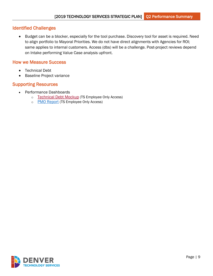## <span id="page-8-0"></span>Identified Challenges

• Budget can be a blocker, especially for the tool purchase. Discovery tool for asset is required. Need to align portfolio to Mayoral Priorities. We do not have direct alignments with Agencies for ROI; same applies to internal customers. Access (dbs) will be a challenge. Post-project reviews depend on Intake performing Value Case analysis upfront.

#### <span id="page-8-1"></span>How we Measure Success

- Technical Debt
- <span id="page-8-2"></span>• Baseline Project variance

- Performance Dashboards
	- o [Technical Debt Mockup](https://app.powerbigov.us/groups/me/reports/5f3caa62-9b19-4711-bd4d-c3e9997e655b?ctid=39c87ab3-6612-42c0-9620-a696d12df803) (TS Employee Only Access)
	- o [PMO Report](https://app.powerbigov.us/groups/040053c4-14ff-4e24-91e6-6393fcf98cd2/reports/e1ad48b3-d975-43b1-87cd-ee6ef22d5f8d/ReportSection) (TS Employee Only Access)

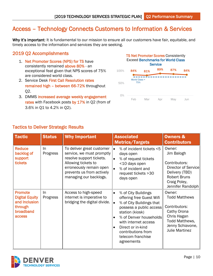## <span id="page-9-0"></span>Access – Technology Connects Customers to Information & Services

Why it's important: It is fundamental to our mission to ensure all our customers have fair, equitable, and timely access to the information and services they are seeking.    

### <span id="page-9-1"></span>2019 Q2 Accomplishments

- 1. Net Promoter Scores (NPS) for TS have consistently remained above 80% - an exceptional feat given that NPS scores of 75% are considered world class.
- 2. Service Desk First Call Resolution rates remained high – between 66-72% throughout Q2.
- 3. DMMS increased average weekly engagement rates with Facebook posts by 17% in Q2 (from of 3.6% in Q1 to 4.2% in Q2).



<span id="page-9-2"></span>

| <b>Tactic</b>                                                                              | <b>Status</b>   | <b>Why Important</b>                                                                                                                                                                        | <b>Associated</b><br><b>Metrics/Targets</b>                                                                                                                                                                                                                                                                   | <b>Owners &amp;</b><br><b>Contributors</b>                                                                                                   |
|--------------------------------------------------------------------------------------------|-----------------|---------------------------------------------------------------------------------------------------------------------------------------------------------------------------------------------|---------------------------------------------------------------------------------------------------------------------------------------------------------------------------------------------------------------------------------------------------------------------------------------------------------------|----------------------------------------------------------------------------------------------------------------------------------------------|
| <b>Reduce</b><br>backlog of<br>support<br>tickets                                          | In.<br>Progress | To deliver great customer<br>service, we must promptly<br>resolve support tickets.<br>Allowing tickets to<br>erroneously remain open<br>prevents us from actively<br>managing our backlogs. | % of incident tickets <5<br>$\bullet$<br>days open<br>% of request tickets<br>$\bullet$<br><10 days open<br>% of incident and<br>$\bullet$<br>request tickets > 30<br>days open                                                                                                                               | Owner:<br>Jim Balogh<br>Contributors:<br>Director of Service<br>Delivery (TBD)<br><b>Robert Bruns</b><br>Craig Poley,<br>Jennifer Randolph   |
| <b>Promote</b><br><b>Digital Equity</b><br>and Inclusion<br>through<br>broadband<br>access | In<br>Progress  | Access to high-speed<br>internet is imperative to<br>bridging the digital divide.                                                                                                           | % of City Buildings<br>$\bullet$<br>offering free Guest Wifi<br>% of City Buildings that<br>$\bullet$<br>possess a public access<br>station (kiosk)<br>% of Denver households<br>$\bullet$<br>with internet access<br>Direct or in-kind<br>$\bullet$<br>contributions from<br>telecom franchise<br>agreements | Owner:<br><b>Todd Matthews</b><br>Contributors:<br>Cathy Orona<br>Chris Hagan<br>Todd Matthews,<br>Jenny Schiavone,<br><b>Julie Martinez</b> |

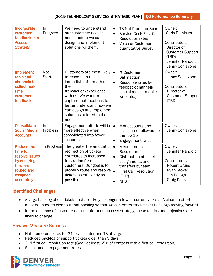| Incorporate<br>customer<br>feedback into<br><b>Access</b><br><b>Strategy</b>                                       | In<br>Progress               | We need to understand<br>our customers access<br>needs before we can<br>design and implement<br>solutions for them.                                                                                                                                             | $\bullet$<br>$\bullet$<br>$\bullet$ | <b>TS Net Promoter Score</b><br><b>Service Desk First Call</b><br><b>Resolution rates</b><br>Voice of Customer<br>quantitative Survey               | Owner:<br><b>Chris Binnicker</b><br>Contributors:<br>Director of<br><b>Customer Support</b><br>(TBD)<br>Jennifer Randolph<br>Jenny Schiavone |
|--------------------------------------------------------------------------------------------------------------------|------------------------------|-----------------------------------------------------------------------------------------------------------------------------------------------------------------------------------------------------------------------------------------------------------------|-------------------------------------|-----------------------------------------------------------------------------------------------------------------------------------------------------|----------------------------------------------------------------------------------------------------------------------------------------------|
| <b>Implement</b><br>tools and<br>channels to<br>collect real-<br>time<br>customer<br>feedback                      | <b>Not</b><br><b>Started</b> | Customers are most likely<br>to respond in the<br>immediate aftermath of<br>their<br>transaction/experience<br>with us. We want to<br>capture that feedback to<br>better understand how we<br>can design and implement<br>solutions tailored to their<br>needs. | $\bullet$<br>$\bullet$              | % Customer<br>Satisfaction<br>Response rates by<br>feedback channels<br>(social media, mobile,<br>web, etc.)                                        | Owner:<br>Jenny Schiavone<br>Contributors:<br>Director of<br>Customer Support<br>(TBD)                                                       |
| <b>Consolidate</b><br><b>Social Media</b><br><b>Accounts</b>                                                       | In.<br>Progress              | Engagement efforts will be $\bullet$<br>more effective when<br>consolidated into fewer<br>accounts                                                                                                                                                              | $\bullet$                           | # of accounts and<br>associated followers for<br>the top 15<br>Engagement rates                                                                     | Owner:<br>Jenny Schiavone                                                                                                                    |
| <b>Reduce the</b><br>time to<br>resolve issues<br>by ensuring<br>they are<br>routed and<br>assigned<br>accurately. | In Progress                  | The greater the amount of $\cdot$<br>redirection of tickets<br>correlates to increased<br>frustration for our<br>customers. Our goal is to<br>properly route and resolve<br>tickets as efficiently as<br>possible.                                              | $\bullet$<br>$\bullet$<br>$\bullet$ | Mean time to<br>Resolution<br>Distribution of ticket<br>assignments and<br>transfers by team<br><b>First Call Resolution</b><br>(FCR)<br><b>NPS</b> | Owner:<br>Jennifer Randolph<br>Contributors:<br><b>Robert Bruns</b><br><b>Ryan Stoker</b><br>Jim Balogh<br><b>Craig Poley</b>                |

#### <span id="page-10-0"></span>Identified Challenges

- A large backlog of old tickets that are likely no longer relevant currently exists. A cleanup effort must be made to clear out that backlog so that we can better track ticket backlogs moving forward.
- In the absence of customer data to inform our access strategy, these tactics and objectives are likely to change.

#### <span id="page-10-1"></span>How we Measure Success

- Net promoter scores for 311 call center and TS at large
- Reduced backlog of support tickets older than 5 days
- 311 first call resolution rate (Goal: at least 65% of contacts with a first call resolution)
- Social media engagement rates

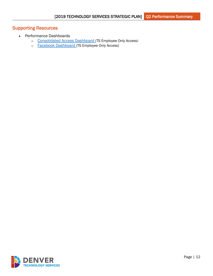- <span id="page-11-0"></span>• Performance Dashboards
	- o [Consolidated Access Dashboard](https://app.powerbigov.us/groups/040053c4-14ff-4e24-91e6-6393fcf98cd2/reports/1538be05-be9c-4e03-9df0-5df1b87d6501/ReportSectione360ac12a9ced159e2a5) (TS Employee Only Access)
	- o [Facebook Dashboard](https://app.powerbigov.us/groups/040053c4-14ff-4e24-91e6-6393fcf98cd2/reports/412af374-3003-48b6-9dad-eda6d667071d/ReportSectione70377426e57901fdf44) (TS Employee Only Access)

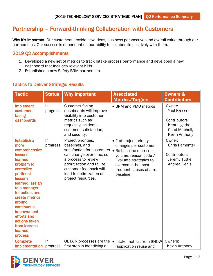## <span id="page-12-0"></span>Partnership – Forward-thinking Collaboration with Customers

Why it's important: Our customers provide new ideas, business perspective, and overall value through our partnerships. Our success is dependent on our ability to collaborate positively with them.

#### <span id="page-12-1"></span>2019 Q2 Accomplishments

- 1. Developed a new set of metrics to track Intake process performance and developed a new dashboard that includes relevant KPIs.
- <span id="page-12-2"></span>2. Established a new Safety BRM partnership.

#### Tactic **Status Why Important** Associated Metrics/Targets Owners & **Contributors** Implement customerfacing dashboards In progress Customer-facing dashboards will improve visibility into customer metrics such as requests/incidents, customer satisfaction, and security. • BRM and PMO metrics  $\parallel$  Owner: Paul Kresser Contributors: Kent Lighthall, Chad Mitchell, Kevin Anthony Establish a more comprehensive **lessons** learned program to centralize pertinent lessons learned, assign to a manager for action, and create metrics around continuous improvement efforts and actions taken from lessons learned process In progress Project priorities, baselines, and satisfaction for customers can change over time, so a process to review prioritization and utilize customer feedback will lead to optimization of project resources. • # of project priority changes per customer • Re-baseline metrics – volume, reason code / Evaluate strategies to overcome the most frequent causes of a rebaseline Owner: Chris Pamenter Contributors: Jeremy Tuttle Andrea Denis **Complete** implementation In progress OBTAIN processes are the • Intake metrics from SNOW first step in identifying a (application reuse and Owners: Kevin Anthony

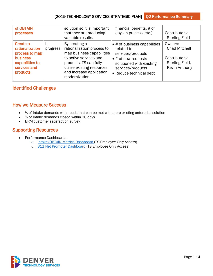| of OBTAIN<br>processes                                                                                          |                 | solution so it is important<br>that they are producing<br>valuable results.                                                                                                                              | financial benefits, # of<br>days in process, etc.)                                                                                                                                 | Contributors:<br><b>Sterling Field</b>                                                      |
|-----------------------------------------------------------------------------------------------------------------|-----------------|----------------------------------------------------------------------------------------------------------------------------------------------------------------------------------------------------------|------------------------------------------------------------------------------------------------------------------------------------------------------------------------------------|---------------------------------------------------------------------------------------------|
| Create a<br>rationalization<br>process to map<br><b>business</b><br>capabilities to<br>services and<br>products | In.<br>progress | By creating a<br>rationalization process to<br>map business capabilities<br>to active services and<br>products, TS can fully<br>utilize existing resources<br>and increase application<br>modernization. | $\bullet$ # of business capabilities<br>related to<br>services/products<br>$\bullet$ # of new requests<br>solutioned with existing<br>services/products<br>• Reduce technical debt | Owners:<br><b>Chad Mitchell</b><br>Contributors:<br>Sterling Field,<br><b>Kevin Anthony</b> |

#### <span id="page-13-0"></span>Identified Challenges

#### <span id="page-13-1"></span>How we Measure Success

- % of Intake demands with needs that can be met with a pre-existing enterprise solution
- % of Intake demands closed within 30 days
- <span id="page-13-2"></span>• BRM customer satisfaction survey

- Performance Dashboards
	- o [Intake/OBTAIN Metrics Dashboard](https://app.powerbigov.us/groups/040053c4-14ff-4e24-91e6-6393fcf98cd2/reports/a24c3191-5766-4cd9-ba26-4c837fa24068/ReportSection1fac7b5783e40a4adb10) (TS Employee Only Access)
	- o [311 Net Promoter Dashboard](https://app.powerbigov.us/groups/me/reports/ce4a4ab4-89b9-4a62-af4a-e1051ecfc8d4/ReportSectionfafd9c533141db8e2ed2) (TS Employee Only Access)

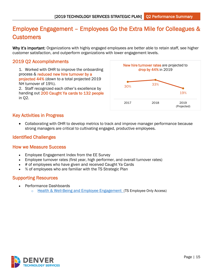## <span id="page-14-0"></span>Employee Engagement – Employees Go the Extra Mile for Colleagues & **Customers**

Why it's important: Organizations with highly engaged employees are better able to retain staff, see higher customer satisfaction, and outperform organizations with lower engagement levels.

#### <span id="page-14-1"></span>2019 Q2 Accomplishments

1. Worked with OHR to improve the onboarding process & reduced new hire turnover by a projected 44% (down to a total projected 2019 NH turnover of 19%).

2. Staff recognized each other's excellence by handing out 200 Caught Ya cards to 132 people in Q2.



#### <span id="page-14-2"></span>Key Activities in Progress

• Collaborating with OHR to develop metrics to track and improve manager performance because strong managers are critical to cultivating engaged, productive employees.

#### <span id="page-14-3"></span>Identified Challenges

#### <span id="page-14-4"></span>How we Measure Success

- Employee Engagement Index from the EE Survey
- Employee turnover rates (first year, high performer, and overall turnover rates)
- # of employees who have given and received Caught Ya Cards
- <span id="page-14-5"></span>• % of employees who are familiar with the TS Strategic Plan

- Performance Dashboards
	- $\circ$  [Health & Well-Being and Employee Engagement](https://app.powerbigov.us/groups/040053c4-14ff-4e24-91e6-6393fcf98cd2/reports/6ab0fade-20fb-44c5-9dca-8975d3c9d2a0/ReportSection) (TS Employee Only Access)